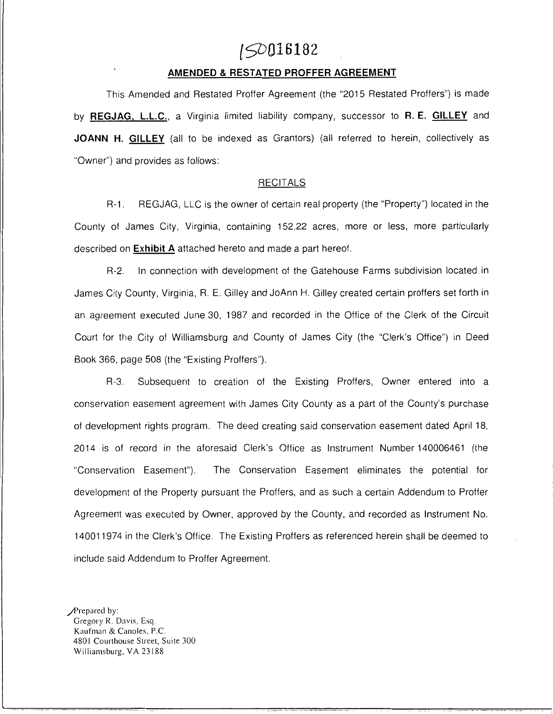# **[9)016182**

#### **AMENDED & RESTATED PROFFER AGREEMENT**

This Amended and Restated Proffer Agreement (the "2015 Restated Proffers") is made by **REGJAG, L.L.C.,** a Virginia limited liability company, successor to **R. E. GILLEY** and JOANN H. GILLEY (all to be indexed as Grantors) (all referred to herein, collectively as "Owner") and provides as follows:

#### RECITALS

R-1. REGJAG, LLC is the owner of certain real property (the "Property") located in the County of James City, Virginia, containing 152.22 acres, more or less, more particularly described on **Exhibit A** attached hereto and made a part hereof.

R-2. In connection with development of the Gatehouse Farms subdivision located in James City County, Virginia, R. E. Gilley and JoAnn H. Gilley created certain proffers set forth in an agreement executed June 30, 1987 and recorded in the Office of the Clerk of the Circuit Court for the City of Williamsburg and County of James City (the "Clerk's Office") in Deed Book 366, page 508 (the "Existing Proffers").

R-3. Subsequent to creation of the Existing Proffers, Owner entered into a conservation easement agreement with James City County as a part of the County's purchase of development rights program. The deed creating said conservation easement dated April 18, 2014 is of record in the aforesaid Clerk's Office as Instrument Number 140006461 (the "Conservation Easement"). The Conservation Easement eliminates the potential for development of the Property pursuant the Proffers, and as such a certain Addendum to Proffer Agreement was executed by Owner, approved by the County, and recorded as Instrument No. 140011974 in the Clerk's Office. The Existing Proffers as referenced herein shall be deemed to include said Addendum to Proffer Agreement.

- I

Prepared by: Gregory R. Davis, Esq. Kaufman & Canoles, P.C. 4801 Courthouse Street, Suite 300 Williamsburg, VA 23188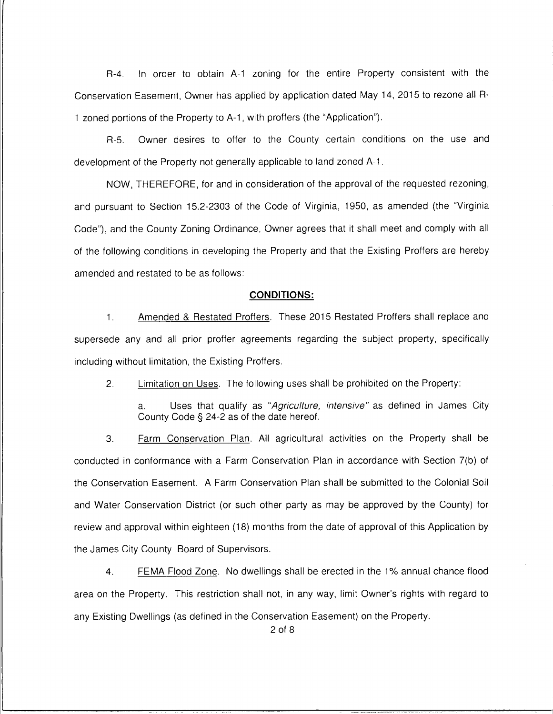R-4. In order to obtain A-1 zoning for the entire Property consistent with the Conservation Easement, Owner has applied by application dated May 14, 2015 to rezone all R-1 zoned portions of the Property to A-1, with proffers (the "Application").

R-5. Owner desires to offer to the County certain conditions on the use and development of the Property not generally applicable to land zoned A-1 .

NOW, THEREFORE, for and in consideration of the approval of the requested rezoning, and pursuant to Section 15.2-2303 of the Code of Virginia, 1950, as amended (the "Virginia Code"), and the County Zoning Ordinance, Owner agrees that it shall meet and comply with all of the following conditions in developing the Property and that the Existing Proffers are hereby amended and restated to be as follows:

#### **CONDITIONS:**

1. Amended & Restated Proffers. These 2015 Restated Proffers shall replace and supersede any and all prior proffer agreements regarding the subject property, specifically including without limitation, the Existing Proffers.

2. Limitation on Uses. The following uses shall be prohibited on the Property:

a. Uses that qualify as "Agriculture, intensive" as defined in James City County Code§ 24-2 as of the date hereof.

3. Farm Conservation Plan. All agricultural activities on the Property shall be conducted in conformance with a Farm Conservation Plan in accordance with Section 7(b) of the Conservation Easement. A Farm Conservation Plan shall be submitted to the Colonial Soil and Water Conservation District (or such other party as may be approved by the County) for review and approval within eighteen (18) months from the date of approval of this Application by the James City County Board of Supervisors.

4. FEMA Flood Zone. No dwellings shall be erected in the 1 % annual chance flood area on the Property. This restriction shall not, in any way, limit Owner's rights with regard to any Existing Dwellings (as defined in the Conservation Easement) on the Property.

2 of 8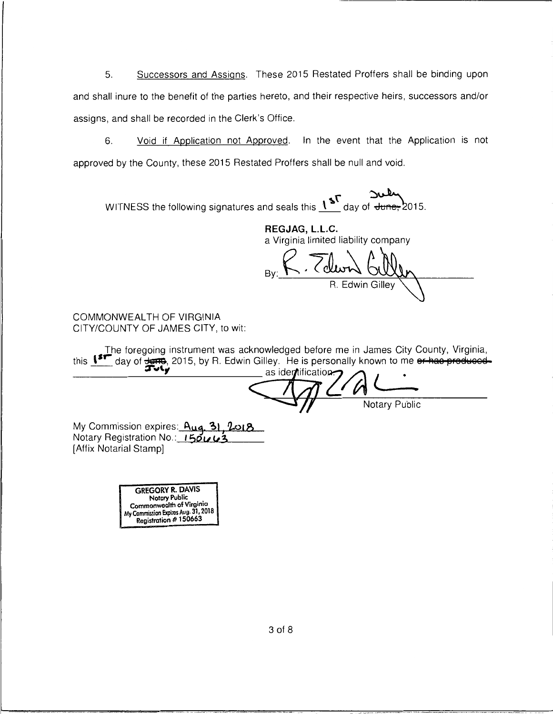Successors and Assigns. These 2015 Restated Proffers shall be binding upon 5. and shall inure to the benefit of the parties hereto, and their respective heirs, successors and/or assigns, and shall be recorded in the Clerk's Office.

Void if Application not Approved. In the event that the Application is not 6. approved by the County, these 2015 Restated Proffers shall be null and void.

WITNESS the following signatures and seals this  $1^{5^{\circ}}$  day of  $\overline{f}$  day of  $\overline{f}$ 

REGJAG, L.L.C. a Virginia limited liability company

. Coliv R. Edwin Gilley

COMMONWEALTH OF VIRGINIA CITY/COUNTY OF JAMES CITY, to wit:

The foregoing instrument was acknowledged before me in James City County, Virginia, this  $15T$  day of  $\frac{1}{21}$ , 2015, by R. Edwin Gilley. He is personally known to me or has produced-

as identification **Notary Public** 

My Commission expires: Aug. 31, 2018 Notary Registration No.: 150003 [Affix Notarial Stamp]

> **GREGORY R. DAVIS Notary Public** Commonwealth of Virginia Commission Expires Aug. 31, 2018 Registration #150663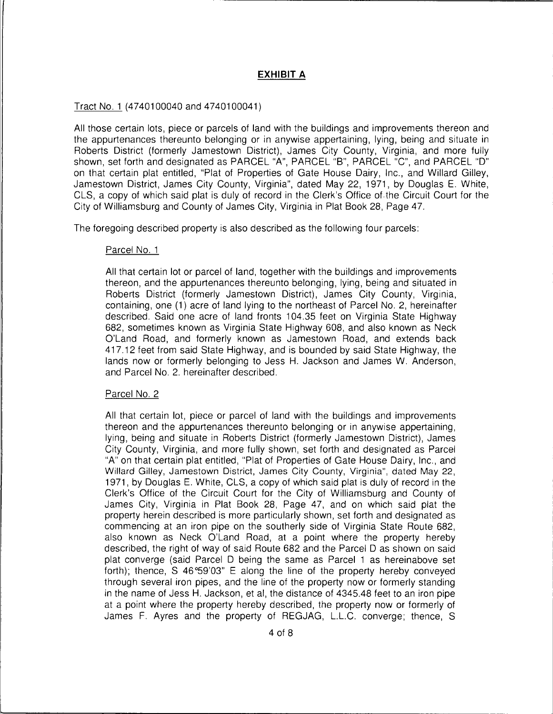## **EXHIBIT A**

#### Tract No. 1 (4740100040 and 4740100041)

All those certain lots, piece or parcels of land with the buildings and improvements thereon and the appurtenances thereunto belonging or in anywise appertaining, lying, being and situate in Roberts District (formerly Jamestown District), James City County, Virginia, and more fully shown, set forth and designated as PARCEL "A", PARCEL "B", PARCEL "C", and PARCEL "D" on that certain plat entitled, "Plat of Properties of Gate House Dairy, Inc., and Willard Gilley, Jamestown District, James City County, Virginia", dated May 22, 1971, by Douglas E. White, CLS, a copy of which said plat is duly of record in the Clerk's Office of the Circuit Court for the City of Williamsburg and County of James City, Virginia in Plat Book 28, Page 47.

The foregoing described property is also described as the following four parcels:

#### Parcel No. 1

All that certain lot or parcel of land, together with the buildings and improvements thereon, and the appurtenances thereunto belonging, lying, being and situated in Roberts District (formerly Jamestown District), James City County, Virginia, containing, one (1) acre of land lying to the northeast of Parcel No. 2, hereinafter described. Said one acre of land fronts 104.35 feet on Virginia State Highway 682, sometimes known as Virginia State Highway 608, and also known as Neck O'Land Road, and formerly known as Jamestown Road, and extends back 417.12 feet from said State Highway, and is bounded by said State Highway, the lands now or formerly belonging to Jess H. Jackson and James W. Anderson, and Parcel No. 2. hereinafter described.

#### Parcel No. 2

All that certain lot, piece or parcel of land with the buildings and improvements thereon and the appurtenances thereunto belonging or in anywise appertaining, lying, being and situate in Roberts District (formerly Jamestown District), James City County, Virginia, and more fully shown, set forth and designated as Parcel "A" on that certain plat entitled, "Plat of Properties of Gate House Dairy, Inc., and Willard Gilley, Jamestown District, James City County, Virginia", dated May 22, 1971, by Douglas E. White, CLS, a copy of which said plat is duly of record in the Clerk's Office of the Circuit Court for the City of Williamsburg and County of James City, Virginia in Plat Book 28, Page 47, and on which said plat the property herein described is more particularly shown, set forth and designated as commencing at an iron pipe on the southerly side of Virginia State Route 682, also known as Neck O'Land Road, at a point where the property hereby described, the right of way of said Route 682 and the Parcel D as shown on said plat converge (said Parcel D being the same as Parcel 1 as hereinabove set forth); thence, S 46°59'03" E along the line of the property hereby conveyed through several iron pipes, and the line of the property now or formerly standing in the name of Jess H. Jackson, et al, the distance of 4345.48 feet to an iron pipe at a point where the property hereby described, the property now or formerly of James F. Ayres and the property of REGJAG, L.L.C. converge; thence, S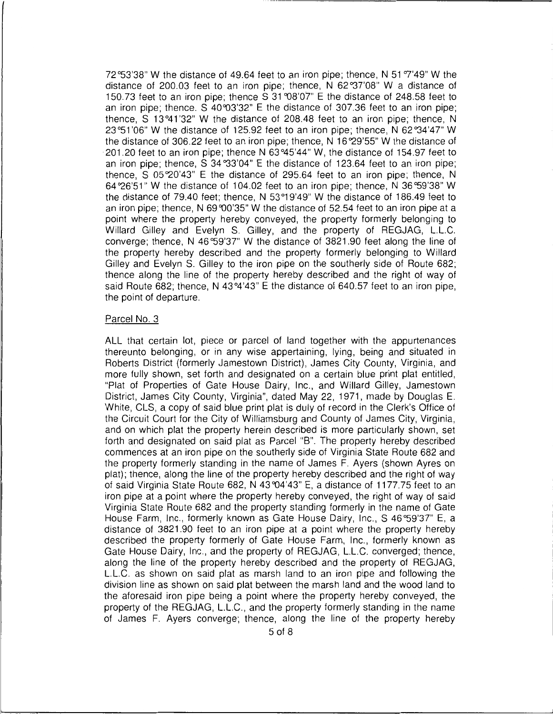72°53'38" W the distance of 49.64 feet to an iron pipe; thence, N 51 °7'49" W the distance of 200.03 feet to an iron pipe; thence, N 62°37'08" W a distance of 150.73 feet to an iron pipe; thence S 31 °08'07" E the distance of 248.58 feet to an iron pipe; thence. S 40°03'32" E the distance of 307.36 feet to an iron pipe; thence, S 13 °41 '32" W the distance of 208.48 feet to an iron pipe; thence, N 23°51'06" W the distance of 125.92 feet to an iron pipe; thence, N 62°34'47" W the distance of 306.22 feet to an iron pipe; thence, N 16 "29'55" W the distance of 201.20 feet to an iron pipe; thence N 63 °45'44" W, the distance of 154.97 feet to an iron pipe; thence, S 34 °33'04" E the distance of 123.64 feet to an iron pipe; thence, S  $05\,20'43''$  E the distance of 295.64 feet to an iron pipe; thence, N 64 "26'51" W the distance of 104.02 feet to an iron pipe; thence, N 36 °59'38" W the distance of 79.40 feet; thence, N 53 °19'49" W the distance of 186.49 feet to an iron pipe; thence, N 69°00'35" W the distance of 52.54 feet to an iron pipe at a point where the property hereby conveyed, the property formerly belonging to Willard Gilley and Evelyn S. Gilley, and the property of REGJAG, L.L.C. converge; thence, N 46 °59'37" W the distance of 3821 .90 feet along the line of the property hereby described and the property formerly belonging to Willard Gilley and Evelyn S. Gilley to the iron pipe on the southerly side of Route 682; thence along the line of the property hereby described and the right of way of said Route 682; thence, N 43°4'43" E the distance of 640.57 feet to an iron pipe, the point of departure.

#### Parcel No. 3

ALL that certain lot, piece or parcel of land together with the appurtenances thereunto belonging, or in any wise appertaining, lying, being and situated in Roberts District (formerly Jamestown District), James City County, Virginia, and more fully shown, set forth and designated on a certain blue print plat entitled, "Plat of Properties of Gate House Dairy, Inc., and Willard Gilley, Jamestown District, James City County, Virginia", dated May 22, 1971, made by Douglas E. White, CLS, a copy of said blue print plat is duly of record in the Clerk's Office of the Circuit Court for the City of Williamsburg and County of James City, Virginia, and on which plat the property herein described is more particularly shown, set forth and designated on said plat as Parcel "B". The property hereby described commences at an iron pipe on the southerly side of Virginia State Route 682 and the property formerly standing in the name of James F. Ayers (shown Ayres on plat); thence, along the line of the property hereby described and the right of way of said Virginia State Route 682, N 43 °04'43" E, a distance of 1177. 75 feet to an iron pipe at a point where the property hereby conveyed, the right of way of said Virginia State Route 682 and the property standing formerly in the name of Gate House Farm, Inc., formerly known as Gate House Dairy, Inc., S 46°59'37" E, a distance of 3821.90 feet to an iron pipe at a point where the property hereby described the property formerly of Gate House Farm, Inc., formerly known as Gate House Dairy, Inc., and the property of REGJAG, L.L.C. converged; thence, along the line of the property hereby described and the property of REGJAG, L.L.C. as shown on said plat as marsh land to an iron pipe and following the division line as shown on said plat between the marsh land and the wood land to the aforesaid iron pipe being a point where the property hereby conveyed, the property of the REGJAG, L.L.C., and the property formerly standing in the name of James F. Ayers converge; thence, along the line of the property hereby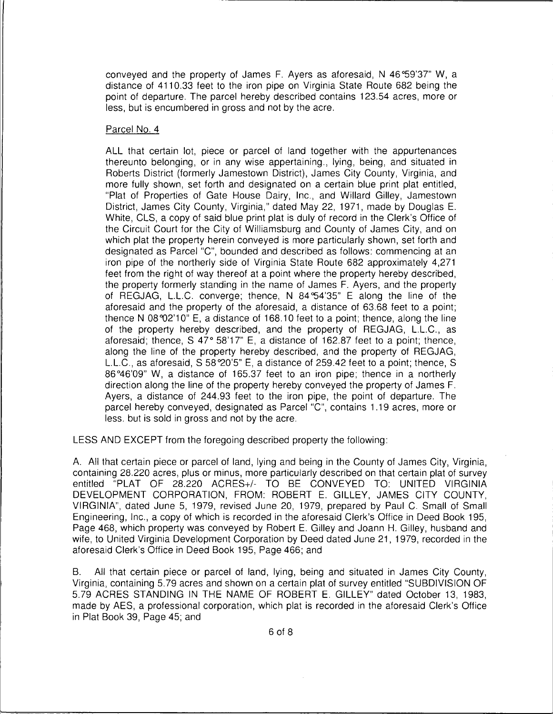conveyed and the property of James F. Ayers as aforesaid, N 46 °59'37" W, a distance of 4110.33 feet to the iron pipe on Virginia State Route 682 being the point of departure. The parcel hereby described contains 123.54 acres, more or less, but is encumbered in gross and not by the acre.

### Parcel No. 4

ALL that certain lot, piece or parcel of land together with the appurtenances thereunto belonging, or in any wise appertaining., lying, being, and situated in Roberts District (formerly Jamestown District), James City County, Virginia, and more fully shown, set forth and designated on a certain blue print plat entitled, "Plat of Properties of Gate House Dairy, Inc., and Willard Gilley, Jamestown District, James City County, Virginia," dated May 22, 1971, made by Douglas E. White, CLS, a copy of said blue print plat is duly of record in the Clerk's Office of the Circuit Court for the City of Williamsburg and County of James City, and on which plat the property herein conveyed is more particularly shown, set forth and designated as Parcel "C", bounded and described as follows: commencing at an iron pipe of the northerly side of Virginia State Route 682 approximately 4,271 feet from the right of way thereof at a point where the property hereby described, the property formerly standing in the name of James F. Ayers, and the property of REGJAG, L.L.C. converge; thence, N 84 °54'35" E along the line of the aforesaid and the property of the aforesaid, a distance of 63.68 feet to a point; thence N  $08\,02'10''$  E, a distance of 168.10 feet to a point; thence, along the line of the property hereby described, and the property of REGJAG, L.L.C., as aforesaid; thence, S 47° 58'17" E, a distance of 162.87 feet to a point; thence, along the line of the property hereby described, and the property of REGJAG, L.L.C., as aforesaid, S 58°20'5" E, a distance of 259.42 feet to a point; thence, S 86°46'09" W, a distance of 165.37 feet to an iron pipe; thence in a northerly direction along the line of the property hereby conveyed the property of James F. Ayers, a distance of 244.93 feet to the iron pipe, the point of departure. The parcel hereby conveyed, designated as Parcel "C", contains 1.19 acres, more or less. but is sold in gross and not by the acre.

LESS AND EXCEPT from the foregoing described property the following:

A. All that certain piece or parcel of land, lying and being in the County of James City, Virginia, containing 28.220 acres, plus or minus, more particularly described on that certain plat of survey entitled "PLAT OF 28.220 ACRES+/- TO BE CONVEYED TO: UNITED VIRGINIA DEVELOPMENT CORPORATION, FROM: ROBERT E. GILLEY, JAMES CITY COUNTY, VIRGINIA", dated June 5, 1979, revised June 20, 1979, prepared by Paul C. Small of Small Engineering, Inc., a copy of which is recorded in the aforesaid Clerk's Office in Deed Book 195, Page 468, which property was conveyed by Robert E. Gilley and Joann H. Gilley, husband and wife, to United Virginia Development Corporation by Deed dated June 21, 1979, recorded in the aforesaid Clerk's Office in Deed Book 195, Page 466; and

B. All that certain piece or parcel of land, lying, being and situated in James City County, Virginia, containing 5.79 acres and shown on a certain plat of survey entitled "SUBDIVISION OF 5.79 ACRES STANDING IN THE NAME OF ROBERT E. GILLEY" dated October 13, 1983, made by AES, a professional corporation, which plat is recorded in the aforesaid Clerk's Office in Plat Book 39, Page 45; and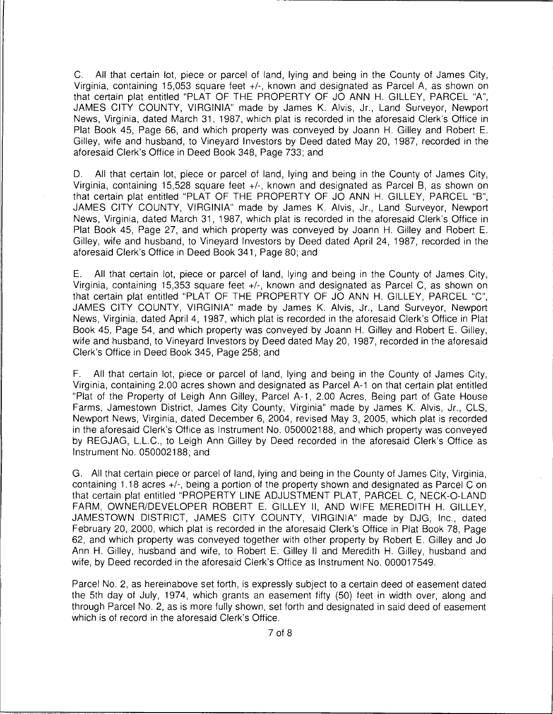C. All that certain lot, piece or parcel of land, lying and being in the County of James City, Virginia, containing 15,053 square feet +/-, known and designated as Parcel A, as shown on that certain plat entitled "PLAT OF THE PROPERTY OF JO ANN H. GILLEY, PARCEL "A", JAMES CITY COUNTY, VIRGINIA" made by James K. Alvis, Jr., Land Surveyor, Newport News, Virginia, dated March 31, 1987, which plat is recorded in the aforesaid Clerk's Office in Plat Book 45, Page 66, and which property was conveyed by Joann H. Gilley and Robert E. Gilley, wife and husband, to Vineyard Investors by Deed dated May 20, 1987, recorded in the aforesaid Clerk's Office in Deed Book 348, Page 733; and

D. All that certain lot, piece or parcel of land, lying and being in the County of James City, Virginia, containing 15,528 square feet +/-, known and designated as Parcel B, as shown on that certain plat entitled "PLAT OF THE PROPERTY OF JO ANN H. GILLEY, PARCEL "B", JAMES CITY COUNTY, VIRGINIA" made by James K. Alvis, Jr., Land Surveyor, Newport News, Virginia, dated March 31, 1987, which plat is recorded in the aforesaid Clerk's Office in Plat Book 45, Page 27, and which property was conveyed by Joann H. Gilley and Robert E. Gilley, wife and husband, to Vineyard Investors by Deed dated April 24, 1987, recorded in the aforesaid Clerk's Office in Deed Book 341, Page 80; and

E. All that certain lot, piece or parcel of land, lying and being in the County of James City, Virginia, containing 15,353 square feet +/-, known and designated as Parcel C, as shown on that certain plat entitled "PLAT OF THE PROPERTY OF JO ANN H. GILLEY, PARCEL "C", JAMES CITY COUNTY, VIRGINIA" made by James K. Alvis, Jr., Land Surveyor, Newport News, Virginia, dated April 4, 1987, which plat is recorded in the aforesaid Clerk's Office in Plat Book 45, Page 54, and which property was conveyed by Joann H. Gilley and Robert E. Gilley, wife and husband, to Vineyard Investors by Deed dated May 20, 1987, recorded in the aforesaid Clerk's Office in Deed Book 345, Page 258; and

F. All that certain lot, piece or parcel of land, lying and being in the County of James City, Virginia, containing 2.00 acres shown and designated as Parcel A-1 on that certain plat entitled "Plat of the Property of Leigh Ann Gilley, Parcel A-1, 2.00 Acres, Being part of Gate House Farms, Jamestown District, James City County, Virginia" made by James K. Alvis, Jr., CLS, Newport News, Virginia, dated December 6, 2004, revised May 3, 2005, which plat is recorded in the aforesaid Clerk's Office as Instrument No. 050002188, and which property was conveyed by REGJAG, L.L.C., to Leigh Ann Gilley by Deed recorded in the aforesaid Clerk's Office as Instrument No. 050002188; and

G. All that certain piece or parcel of land, lying and being in the County of James City, Virginia, containing 1.18 acres +/-, being a portion of the property shown and designated as Parcel C on that certain plat entitled "PROPERTY LINE ADJUSTMENT PLAT, PARCEL C, NECK-0-LAND FARM, OWNER/DEVELOPER ROBERT E. GILLEY II, AND WIFE MEREDITH H. GILLEY, JAMESTOWN DISTRICT, JAMES CITY COUNTY, VIRGINIA" made by DJG, Inc., dated February 20, 2000, which plat is recorded in the aforesaid Clerk's Office in Plat Book 78, Page 62, and which property was conveyed together with other property by Robert E. Gilley and Jo Ann H. Gilley, husband and wife, to Robert E. Gilley II and Meredith H. Gilley, husband and wife, by Deed recorded in the aforesaid Clerk's Office as Instrument No. 000017549.

Parcel No. 2, as hereinabove set forth, is expressly subject to a certain deed of easement dated the 5th day of July, 1974, which grants an easement fifty (50) feet in width over, along and through Parcel No. 2, as is more fully shown, set forth and designated in said deed of easement which is of record in the aforesaid Clerk's Office.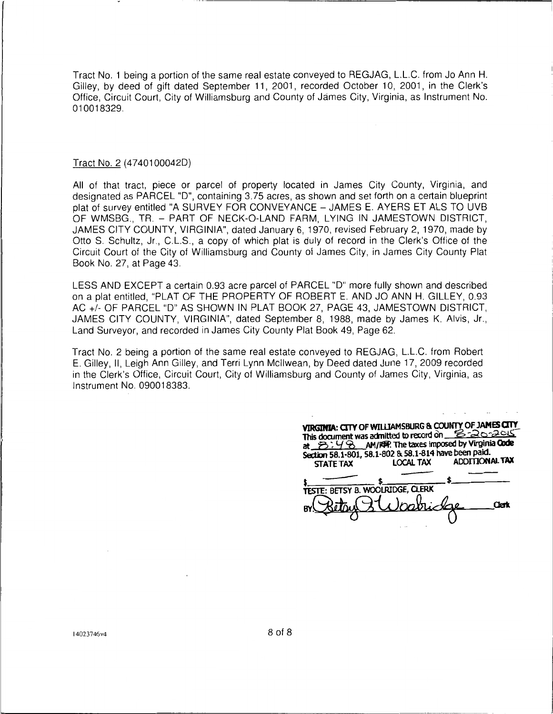Tract No. 1 being a portion of the same real estate conveyed to REGJAG, L.L.C. from Jo Ann H. Gilley, by deed of gift dated September 11, 2001, recorded October 10, 2001, in the Clerk's Office, Circuit Court, City of Williamsburg and County of James City, Virginia, as Instrument No. 010018329.

#### Tract No. 2 (47401000420)

All of that tract, piece or parcel of property located in James City County, Virginia, and designated as PARCEL "D", containing 3.75 acres, as shown and set forth on a certain blueprint plat of survey entitled "A SURVEY FOR CONVEYANCE - JAMES E. AYERS ET ALS TO UVB OF WMSBG., TR. - PART OF NECK-0-LAND FARM, LYING IN JAMESTOWN DISTRICT, JAMES CITY COUNTY, VIRGINIA", dated January 6, 1970, revised February 2, 1970, made by Otto S. Schultz, Jr., C.L.S., a copy of which plat is duly of record in the Clerk's Office of the Circuit Court of the City of Williamsburg and County of James City, in James City County Plat Book No. 27, at Page 43.

LESS AND EXCEPT a certain 0.93 acre parcel of PARCEL "D" more fully shown and described on a plat entitled, "PLAT OF THE PROPERTY OF ROBERT E. AND JO ANN H. GILLEY, 0.93 AC+/- OF PARCEL "D" AS SHOWN IN PLAT BOOK 27, PAGE 43, JAMESTOWN DISTRICT, JAMES CITY COUNTY, VIRGINIA", dated September 8, 1988, made by James K. Alvis, Jr., Land Surveyor, and recorded in James City County Plat Book 49, Page 62.

Tract No. 2 being a portion of the same real estate conveyed to REGJAG, L.L.C. from Robert E. Gilley, 11, Leigh Ann Gilley, and Terri Lynn Mcllwean, by Deed dated June 17, 2009 recorded in the Clerk's Office, Circuit Court, City of Williamsburg and County of James City, Virginia, as Instrument No. 090018383.

| VIRGINIA: CITY OF WILLIAMSBURG & COUNTY OF JAMES CITY<br>This document was admitted to record on 8-20-2015<br>at $3:48$ AM/RFP. The taxes imposed by Virginia Code<br>Section 58.1-801, 58.1-802 & 58.1-814 have been paid.<br><b>STATE TAX</b> | <b>LOCAL TAX</b> | <b>ADDITIONAL TAX</b> |
|-------------------------------------------------------------------------------------------------------------------------------------------------------------------------------------------------------------------------------------------------|------------------|-----------------------|
| TESTE: BETSY B. WOOLRIDGE, CLERK                                                                                                                                                                                                                | Inarr            |                       |